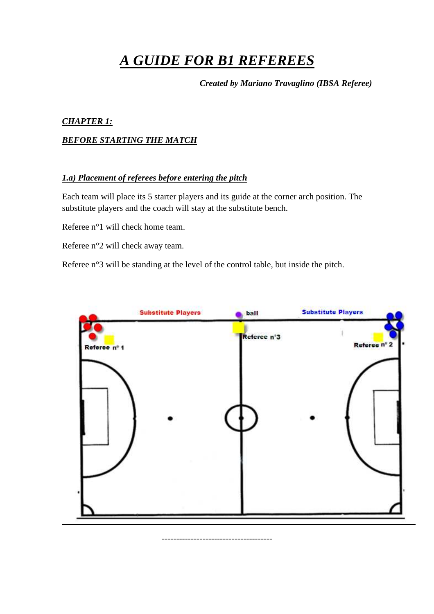# *A GUIDE FOR B1 REFEREES*

*Created by Mariano Travaglino (IBSA Referee)* 

### *CHAPTER 1:*

#### *BEFORE STARTING THE MATCH*

#### *1.a) Placement of referees before entering the pitch*

Each team will place its 5 starter players and its guide at the corner arch position. The substitute players and the coach will stay at the substitute bench.

Referee n°1 will check home team.

Referee n°2 will check away team.

Referee n°3 will be standing at the level of the control table, but inside the pitch.



--------------------------------------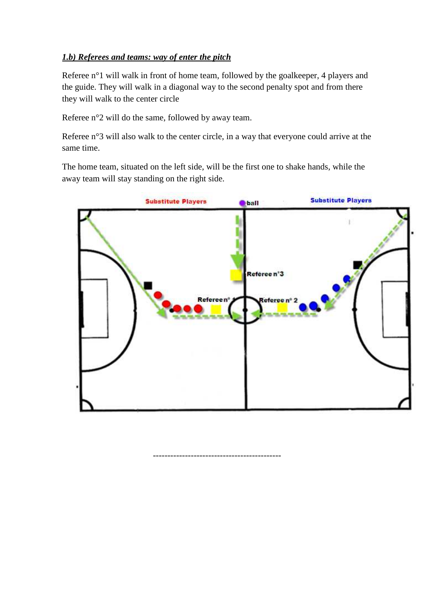## *1.b) Referees and teams: way of enter the pitch*

Referee n°1 will walk in front of home team, followed by the goalkeeper, 4 players and the guide. They will walk in a diagonal way to the second penalty spot and from there they will walk to the center circle

Referee n°2 will do the same, followed by away team.

Referee n°3 will also walk to the center circle, in a way that everyone could arrive at the same time.

The home team, situated on the left side, will be the first one to shake hands, while the away team will stay standing on the right side.



--------------------------------------------